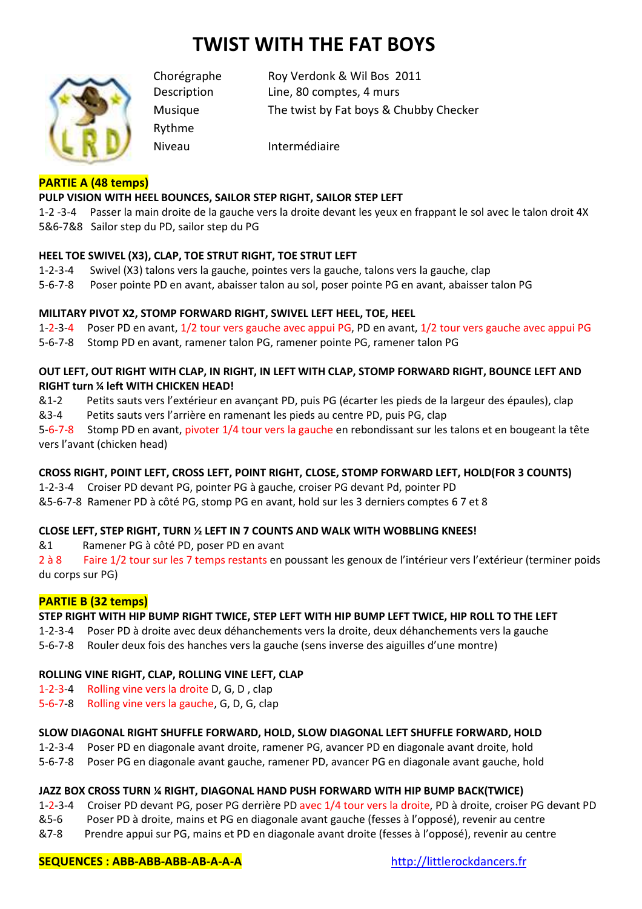# **TWIST WITH THE FAT BOYS**



Chorégraphe Roy Verdonk & Wil Bos 2011 Description Line, 80 comptes, 4 murs Musique The twist by Fat boys & Chubby Checker

Rythme

Niveau Intermédiaire

## **PARTIE A (48 temps)**

## **PULP VISION WITH HEEL BOUNCES, SAILOR STEP RIGHT, SAILOR STEP LEFT**

1-2 -3-4 Passer la main droite de la gauche vers la droite devant les yeux en frappant le sol avec le talon droit 4X 5&6-7&8 Sailor step du PD, sailor step du PG

#### **HEEL TOE SWIVEL (X3), CLAP, TOE STRUT RIGHT, TOE STRUT LEFT**

- 1-2-3-4 Swivel (X3) talons vers la gauche, pointes vers la gauche, talons vers la gauche, clap
- 5-6-7-8 Poser pointe PD en avant, abaisser talon au sol, poser pointe PG en avant, abaisser talon PG

## **MILITARY PIVOT X2, STOMP FORWARD RIGHT, SWIVEL LEFT HEEL, TOE, HEEL**

1-2-3-4 Poser PD en avant, 1/2 tour vers gauche avec appui PG, PD en avant, 1/2 tour vers gauche avec appui PG

5-6-7-8 Stomp PD en avant, ramener talon PG, ramener pointe PG, ramener talon PG

## **OUT LEFT, OUT RIGHT WITH CLAP, IN RIGHT, IN LEFT WITH CLAP, STOMP FORWARD RIGHT, BOUNCE LEFT AND RIGHT turn ¼ left WITH CHICKEN HEAD!**

&1-2 Petits sauts vers l'extérieur en avançant PD, puis PG (écarter les pieds de la largeur des épaules), clap

&3-4 Petits sauts vers l'arrière en ramenant les pieds au centre PD, puis PG, clap

5-6-7-8 Stomp PD en avant, pivoter 1/4 tour vers la gauche en rebondissant sur les talons et en bougeant la tête vers l'avant (chicken head)

## **CROSS RIGHT, POINT LEFT, CROSS LEFT, POINT RIGHT, CLOSE, STOMP FORWARD LEFT, HOLD(FOR 3 COUNTS)**

1-2-3-4 Croiser PD devant PG, pointer PG à gauche, croiser PG devant Pd, pointer PD

&5-6-7-8 Ramener PD à côté PG, stomp PG en avant, hold sur les 3 derniers comptes 6 7 et 8

#### **CLOSE LEFT, STEP RIGHT, TURN ½ LEFT IN 7 COUNTS AND WALK WITH WOBBLING KNEES!**

&1 Ramener PG à côté PD, poser PD en avant

2 à 8 Faire 1/2 tour sur les 7 temps restants en poussant les genoux de l'intérieur vers l'extérieur (terminer poids du corps sur PG)

## **PARTIE B (32 temps)**

## **STEP RIGHT WITH HIP BUMP RIGHT TWICE, STEP LEFT WITH HIP BUMP LEFT TWICE, HIP ROLL TO THE LEFT**

1-2-3-4 Poser PD à droite avec deux déhanchements vers la droite, deux déhanchements vers la gauche

5-6-7-8 Rouler deux fois des hanches vers la gauche (sens inverse des aiguilles d'une montre)

#### **ROLLING VINE RIGHT, CLAP, ROLLING VINE LEFT, CLAP**

- 1-2-3-4 Rolling vine vers la droite D, G, D , clap
- 5-6-7-8 Rolling vine vers la gauche, G, D, G, clap

#### **SLOW DIAGONAL RIGHT SHUFFLE FORWARD, HOLD, SLOW DIAGONAL LEFT SHUFFLE FORWARD, HOLD**

- 1-2-3-4 Poser PD en diagonale avant droite, ramener PG, avancer PD en diagonale avant droite, hold
- 5-6-7-8 Poser PG en diagonale avant gauche, ramener PD, avancer PG en diagonale avant gauche, hold

#### **JAZZ BOX CROSS TURN ¼ RIGHT, DIAGONAL HAND PUSH FORWARD WITH HIP BUMP BACK(TWICE)**

- 1-2-3-4 Croiser PD devant PG, poser PG derrière PD avec 1/4 tour vers la droite, PD à droite, croiser PG devant PD
- &5-6 Poser PD à droite, mains et PG en diagonale avant gauche (fesses à l'opposé), revenir au centre
- &7-8 Prendre appui sur PG, mains et PD en diagonale avant droite (fesses à l'opposé), revenir au centre

#### **SEQUENCES : ABB-ABB-ABB-AB-A-A-A** http://littlerockdancers.fr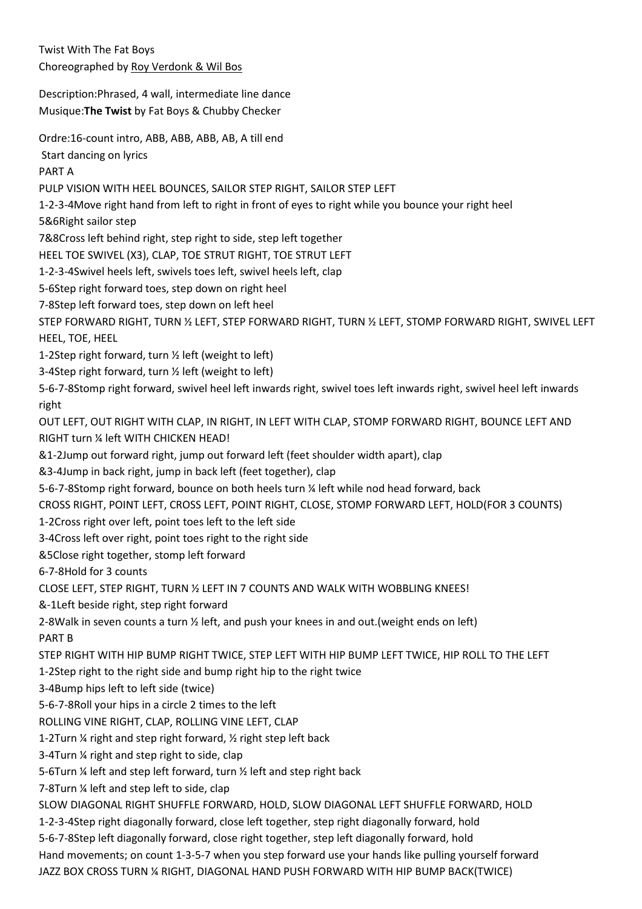Twist With The Fat Boys Choreographed by Roy Verdonk & Wil Bos

Description:Phrased, 4 wall, intermediate line dance Musique:**The Twist** by Fat Boys & Chubby Checker

Ordre:16-count intro, ABB, ABB, ABB, AB, A till end

Start dancing on lyrics

PART A

PULP VISION WITH HEEL BOUNCES, SAILOR STEP RIGHT, SAILOR STEP LEFT

1-2-3-4Move right hand from left to right in front of eyes to right while you bounce your right heel

5&6Right sailor step

7&8Cross left behind right, step right to side, step left together

HEEL TOE SWIVEL (X3), CLAP, TOE STRUT RIGHT, TOE STRUT LEFT

1-2-3-4Swivel heels left, swivels toes left, swivel heels left, clap

5-6Step right forward toes, step down on right heel

7-8Step left forward toes, step down on left heel

STEP FORWARD RIGHT, TURN ½ LEFT, STEP FORWARD RIGHT, TURN ½ LEFT, STOMP FORWARD RIGHT, SWIVEL LEFT HEEL, TOE, HEEL

1-2Step right forward, turn ½ left (weight to left)

3-4Step right forward, turn ½ left (weight to left)

5-6-7-8Stomp right forward, swivel heel left inwards right, swivel toes left inwards right, swivel heel left inwards right

OUT LEFT, OUT RIGHT WITH CLAP, IN RIGHT, IN LEFT WITH CLAP, STOMP FORWARD RIGHT, BOUNCE LEFT AND RIGHT turn ¼ left WITH CHICKEN HEAD!

&1-2Jump out forward right, jump out forward left (feet shoulder width apart), clap

&3-4Jump in back right, jump in back left (feet together), clap

5-6-7-8Stomp right forward, bounce on both heels turn ¼ left while nod head forward, back

CROSS RIGHT, POINT LEFT, CROSS LEFT, POINT RIGHT, CLOSE, STOMP FORWARD LEFT, HOLD(FOR 3 COUNTS)

1-2Cross right over left, point toes left to the left side

3-4Cross left over right, point toes right to the right side

&5Close right together, stomp left forward

6-7-8Hold for 3 counts

CLOSE LEFT, STEP RIGHT, TURN ½ LEFT IN 7 COUNTS AND WALK WITH WOBBLING KNEES!

&-1Left beside right, step right forward

2-8Walk in seven counts a turn ½ left, and push your knees in and out.(weight ends on left) PART B

STEP RIGHT WITH HIP BUMP RIGHT TWICE, STEP LEFT WITH HIP BUMP LEFT TWICE, HIP ROLL TO THE LEFT

1-2Step right to the right side and bump right hip to the right twice

3-4Bump hips left to left side (twice)

5-6-7-8Roll your hips in a circle 2 times to the left

ROLLING VINE RIGHT, CLAP, ROLLING VINE LEFT, CLAP

1-2Turn ¼ right and step right forward, ½ right step left back

3-4Turn ¼ right and step right to side, clap

5-6Turn ¼ left and step left forward, turn ½ left and step right back

7-8Turn ¼ left and step left to side, clap

SLOW DIAGONAL RIGHT SHUFFLE FORWARD, HOLD, SLOW DIAGONAL LEFT SHUFFLE FORWARD, HOLD

1-2-3-4Step right diagonally forward, close left together, step right diagonally forward, hold

5-6-7-8Step left diagonally forward, close right together, step left diagonally forward, hold

Hand movements; on count 1-3-5-7 when you step forward use your hands like pulling yourself forward JAZZ BOX CROSS TURN ¼ RIGHT, DIAGONAL HAND PUSH FORWARD WITH HIP BUMP BACK(TWICE)